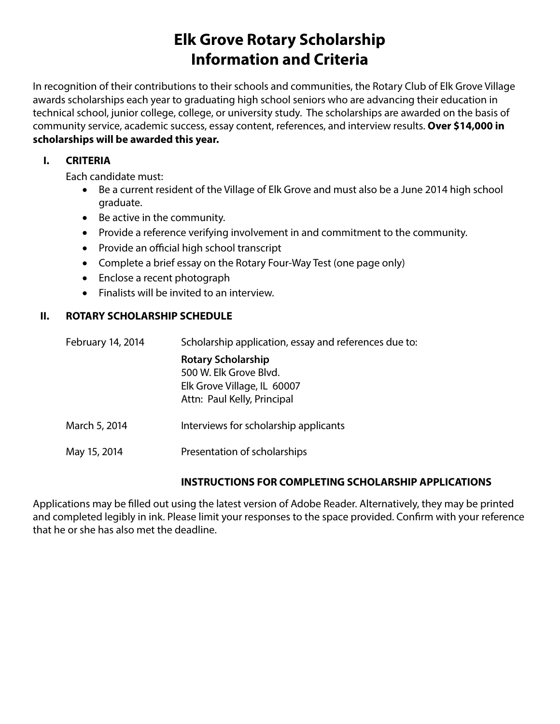# **Elk Grove Rotary Scholarship Information and Criteria**

In recognition of their contributions to their schools and communities, the Rotary Club of Elk Grove Village awards scholarships each year to graduating high school seniors who are advancing their education in technical school, junior college, college, or university study. The scholarships are awarded on the basis of community service, academic success, essay content, references, and interview results. **Over \$14,000 in scholarships will be awarded this year.**

## **I. CRITERIA**

Each candidate must:

- Be a current resident of the Village of Elk Grove and must also be a June 2014 high school graduate.
- • Be active in the community.
- Provide a reference verifying involvement in and commitment to the community.
- Provide an official high school transcript
- Complete a brief essay on the Rotary Four-Way Test (one page only)
- Enclose a recent photograph
- • Finalists will be invited to an interview.

## **II. ROTARY SCHOLARSHIP SCHEDULE**

| February 14, 2014 | Scholarship application, essay and references due to:                                                             |  |
|-------------------|-------------------------------------------------------------------------------------------------------------------|--|
|                   | <b>Rotary Scholarship</b><br>500 W. Elk Grove Blvd.<br>Elk Grove Village, IL 60007<br>Attn: Paul Kelly, Principal |  |
| March 5, 2014     | Interviews for scholarship applicants                                                                             |  |
| May 15, 2014      | Presentation of scholarships                                                                                      |  |

## **INSTRUCTIONS FOR COMPLETING SCHOLARSHIP APPLICATIONS**

Applications may be filled out using the latest version of Adobe Reader. Alternatively, they may be printed and completed legibly in ink. Please limit your responses to the space provided. Confirm with your reference that he or she has also met the deadline.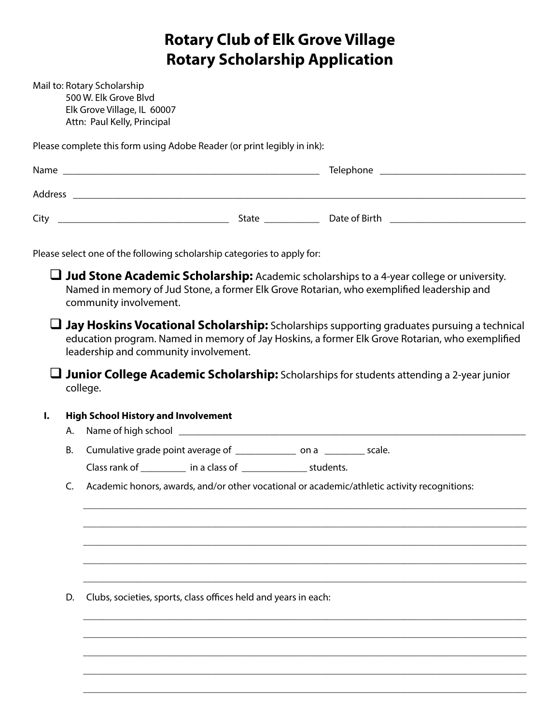# **Rotary Club of Elk Grove Village Rotary Scholarship Application**

Mail to: Rotary Scholarship 500 W. Elk Grove Blvd Elk Grove Village, IL 60007 Attn: Paul Kelly, Principal

Please complete this form using Adobe Reader (or print legibly in ink):

| Name    |              | Telephone     |
|---------|--------------|---------------|
| Address |              |               |
| City    | <b>State</b> | Date of Birth |

Please select one of the following scholarship categories to apply for:

 **Jud Stone Academic Scholarship:** Academic scholarships to a 4-year college or university. Named in memory of Jud Stone, a former Elk Grove Rotarian, who exemplified leadership and community involvement.

 **Jay Hoskins Vocational Scholarship:** Scholarships supporting graduates pursuing a technical education program. Named in memory of Jay Hoskins, a former Elk Grove Rotarian, who exemplified leadership and community involvement.

 **Junior College Academic Scholarship:** Scholarships for students attending a 2-year junior college.

### **I. High School History and Involvement**

A. Name of high school \_\_\_\_\_\_\_\_\_\_\_\_\_\_\_\_\_\_\_\_\_\_\_\_\_\_\_\_\_\_\_\_\_\_\_\_\_\_\_\_\_\_\_\_\_\_\_\_\_\_\_\_\_\_\_\_\_\_\_\_\_\_\_\_\_\_\_\_\_

B. Cumulative grade point average of \_\_\_\_\_\_\_\_\_\_\_\_\_\_\_ on a \_\_\_\_\_\_\_\_\_\_ scale.

Class rank of \_\_\_\_\_\_\_\_\_\_ in a class of \_\_\_\_\_\_\_\_\_\_\_\_\_\_\_\_\_ students.

C. Academic honors, awards, and/or other vocational or academic/athletic activity recognitions:

 $\_$  ,  $\_$  ,  $\_$  ,  $\_$  ,  $\_$  ,  $\_$  ,  $\_$  ,  $\_$  ,  $\_$  ,  $\_$  ,  $\_$  ,  $\_$  ,  $\_$  ,  $\_$  ,  $\_$  ,  $\_$  ,  $\_$  ,  $\_$  ,  $\_$  ,  $\_$  ,  $\_$  ,  $\_$  ,  $\_$  ,  $\_$  ,  $\_$  ,  $\_$  ,  $\_$  ,  $\_$  ,  $\_$  ,  $\_$  ,  $\_$  ,  $\_$  ,  $\_$  ,  $\_$  ,  $\_$  ,  $\_$  ,  $\_$  ,

 $\_$  ,  $\_$  ,  $\_$  ,  $\_$  ,  $\_$  ,  $\_$  ,  $\_$  ,  $\_$  ,  $\_$  ,  $\_$  ,  $\_$  ,  $\_$  ,  $\_$  ,  $\_$  ,  $\_$  ,  $\_$  ,  $\_$  ,  $\_$  ,  $\_$  ,  $\_$  ,  $\_$  ,  $\_$  ,  $\_$  ,  $\_$  ,  $\_$  ,  $\_$  ,  $\_$  ,  $\_$  ,  $\_$  ,  $\_$  ,  $\_$  ,  $\_$  ,  $\_$  ,  $\_$  ,  $\_$  ,  $\_$  ,  $\_$  ,

 $\_$  ,  $\_$  ,  $\_$  ,  $\_$  ,  $\_$  ,  $\_$  ,  $\_$  ,  $\_$  ,  $\_$  ,  $\_$  ,  $\_$  ,  $\_$  ,  $\_$  ,  $\_$  ,  $\_$  ,  $\_$  ,  $\_$  ,  $\_$  ,  $\_$  ,  $\_$  ,  $\_$  ,  $\_$  ,  $\_$  ,  $\_$  ,  $\_$  ,  $\_$  ,  $\_$  ,  $\_$  ,  $\_$  ,  $\_$  ,  $\_$  ,  $\_$  ,  $\_$  ,  $\_$  ,  $\_$  ,  $\_$  ,  $\_$  ,

 $\_$  ,  $\_$  ,  $\_$  ,  $\_$  ,  $\_$  ,  $\_$  ,  $\_$  ,  $\_$  ,  $\_$  ,  $\_$  ,  $\_$  ,  $\_$  ,  $\_$  ,  $\_$  ,  $\_$  ,  $\_$  ,  $\_$  ,  $\_$  ,  $\_$  ,  $\_$  ,  $\_$  ,  $\_$  ,  $\_$  ,  $\_$  ,  $\_$  ,  $\_$  ,  $\_$  ,  $\_$  ,  $\_$  ,  $\_$  ,  $\_$  ,  $\_$  ,  $\_$  ,  $\_$  ,  $\_$  ,  $\_$  ,  $\_$  ,

 $\_$  ,  $\_$  ,  $\_$  ,  $\_$  ,  $\_$  ,  $\_$  ,  $\_$  ,  $\_$  ,  $\_$  ,  $\_$  ,  $\_$  ,  $\_$  ,  $\_$  ,  $\_$  ,  $\_$  ,  $\_$  ,  $\_$  ,  $\_$  ,  $\_$  ,  $\_$  ,  $\_$  ,  $\_$  ,  $\_$  ,  $\_$  ,  $\_$  ,  $\_$  ,  $\_$  ,  $\_$  ,  $\_$  ,  $\_$  ,  $\_$  ,  $\_$  ,  $\_$  ,  $\_$  ,  $\_$  ,  $\_$  ,  $\_$  ,

 $\_$  ,  $\_$  ,  $\_$  ,  $\_$  ,  $\_$  ,  $\_$  ,  $\_$  ,  $\_$  ,  $\_$  ,  $\_$  ,  $\_$  ,  $\_$  ,  $\_$  ,  $\_$  ,  $\_$  ,  $\_$  ,  $\_$  ,  $\_$  ,  $\_$  ,  $\_$  ,  $\_$  ,  $\_$  ,  $\_$  ,  $\_$  ,  $\_$  ,  $\_$  ,  $\_$  ,  $\_$  ,  $\_$  ,  $\_$  ,  $\_$  ,  $\_$  ,  $\_$  ,  $\_$  ,  $\_$  ,  $\_$  ,  $\_$  ,

 $\_$  ,  $\_$  ,  $\_$  ,  $\_$  ,  $\_$  ,  $\_$  ,  $\_$  ,  $\_$  ,  $\_$  ,  $\_$  ,  $\_$  ,  $\_$  ,  $\_$  ,  $\_$  ,  $\_$  ,  $\_$  ,  $\_$  ,  $\_$  ,  $\_$  ,  $\_$  ,  $\_$  ,  $\_$  ,  $\_$  ,  $\_$  ,  $\_$  ,  $\_$  ,  $\_$  ,  $\_$  ,  $\_$  ,  $\_$  ,  $\_$  ,  $\_$  ,  $\_$  ,  $\_$  ,  $\_$  ,  $\_$  ,  $\_$  ,

 $\_$  ,  $\_$  ,  $\_$  ,  $\_$  ,  $\_$  ,  $\_$  ,  $\_$  ,  $\_$  ,  $\_$  ,  $\_$  ,  $\_$  ,  $\_$  ,  $\_$  ,  $\_$  ,  $\_$  ,  $\_$  ,  $\_$  ,  $\_$  ,  $\_$  ,  $\_$  ,  $\_$  ,  $\_$  ,  $\_$  ,  $\_$  ,  $\_$  ,  $\_$  ,  $\_$  ,  $\_$  ,  $\_$  ,  $\_$  ,  $\_$  ,  $\_$  ,  $\_$  ,  $\_$  ,  $\_$  ,  $\_$  ,  $\_$  ,

 $\_$  ,  $\_$  ,  $\_$  ,  $\_$  ,  $\_$  ,  $\_$  ,  $\_$  ,  $\_$  ,  $\_$  ,  $\_$  ,  $\_$  ,  $\_$  ,  $\_$  ,  $\_$  ,  $\_$  ,  $\_$  ,  $\_$  ,  $\_$  ,  $\_$  ,  $\_$  ,  $\_$  ,  $\_$  ,  $\_$  ,  $\_$  ,  $\_$  ,  $\_$  ,  $\_$  ,  $\_$  ,  $\_$  ,  $\_$  ,  $\_$  ,  $\_$  ,  $\_$  ,  $\_$  ,  $\_$  ,  $\_$  ,  $\_$  ,

 $\_$  ,  $\_$  ,  $\_$  ,  $\_$  ,  $\_$  ,  $\_$  ,  $\_$  ,  $\_$  ,  $\_$  ,  $\_$  ,  $\_$  ,  $\_$  ,  $\_$  ,  $\_$  ,  $\_$  ,  $\_$  ,  $\_$  ,  $\_$  ,  $\_$  ,  $\_$  ,  $\_$  ,  $\_$  ,  $\_$  ,  $\_$  ,  $\_$  ,  $\_$  ,  $\_$  ,  $\_$  ,  $\_$  ,  $\_$  ,  $\_$  ,  $\_$  ,  $\_$  ,  $\_$  ,  $\_$  ,  $\_$  ,  $\_$  ,

D. Clubs, societies, sports, class offices held and years in each: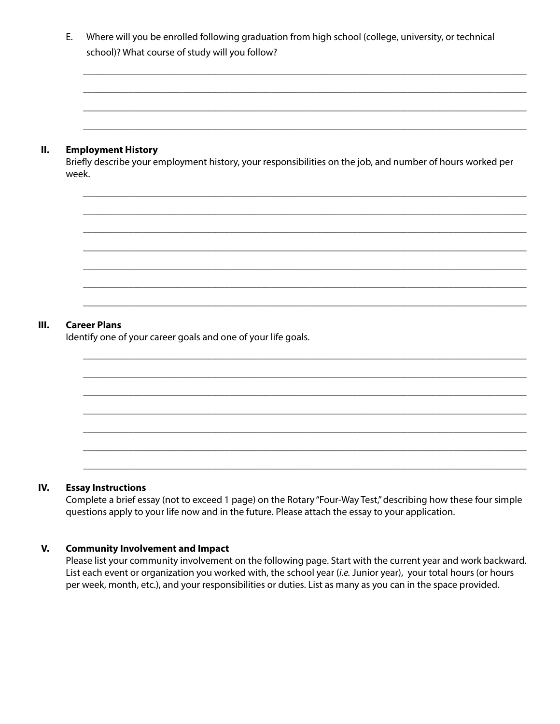| Where will you be enrolled following graduation from high school (college, university, or technical<br>school)? What course of study will you follow? |
|-------------------------------------------------------------------------------------------------------------------------------------------------------|
|                                                                                                                                                       |

 $\_$  ,  $\_$  ,  $\_$  ,  $\_$  ,  $\_$  ,  $\_$  ,  $\_$  ,  $\_$  ,  $\_$  ,  $\_$  ,  $\_$  ,  $\_$  ,  $\_$  ,  $\_$  ,  $\_$  ,  $\_$  ,  $\_$  ,  $\_$  ,  $\_$  ,  $\_$  ,  $\_$  ,  $\_$  ,  $\_$  ,  $\_$  ,  $\_$  ,  $\_$  ,  $\_$  ,  $\_$  ,  $\_$  ,  $\_$  ,  $\_$  ,  $\_$  ,  $\_$  ,  $\_$  ,  $\_$  ,  $\_$  ,  $\_$  ,

 $\_$  ,  $\_$  ,  $\_$  ,  $\_$  ,  $\_$  ,  $\_$  ,  $\_$  ,  $\_$  ,  $\_$  ,  $\_$  ,  $\_$  ,  $\_$  ,  $\_$  ,  $\_$  ,  $\_$  ,  $\_$  ,  $\_$  ,  $\_$  ,  $\_$  ,  $\_$  ,  $\_$  ,  $\_$  ,  $\_$  ,  $\_$  ,  $\_$  ,  $\_$  ,  $\_$  ,  $\_$  ,  $\_$  ,  $\_$  ,  $\_$  ,  $\_$  ,  $\_$  ,  $\_$  ,  $\_$  ,  $\_$  ,  $\_$  ,

 $\_$  ,  $\_$  ,  $\_$  ,  $\_$  ,  $\_$  ,  $\_$  ,  $\_$  ,  $\_$  ,  $\_$  ,  $\_$  ,  $\_$  ,  $\_$  ,  $\_$  ,  $\_$  ,  $\_$  ,  $\_$  ,  $\_$  ,  $\_$  ,  $\_$  ,  $\_$  ,  $\_$  ,  $\_$  ,  $\_$  ,  $\_$  ,  $\_$  ,  $\_$  ,  $\_$  ,  $\_$  ,  $\_$  ,  $\_$  ,  $\_$  ,  $\_$  ,  $\_$  ,  $\_$  ,  $\_$  ,  $\_$  ,  $\_$  ,

 $\_$  ,  $\_$  ,  $\_$  ,  $\_$  ,  $\_$  ,  $\_$  ,  $\_$  ,  $\_$  ,  $\_$  ,  $\_$  ,  $\_$  ,  $\_$  ,  $\_$  ,  $\_$  ,  $\_$  ,  $\_$  ,  $\_$  ,  $\_$  ,  $\_$  ,  $\_$  ,  $\_$  ,  $\_$  ,  $\_$  ,  $\_$  ,  $\_$  ,  $\_$  ,  $\_$  ,  $\_$  ,  $\_$  ,  $\_$  ,  $\_$  ,  $\_$  ,  $\_$  ,  $\_$  ,  $\_$  ,  $\_$  ,  $\_$  ,

 $\_$  ,  $\_$  ,  $\_$  ,  $\_$  ,  $\_$  ,  $\_$  ,  $\_$  ,  $\_$  ,  $\_$  ,  $\_$  ,  $\_$  ,  $\_$  ,  $\_$  ,  $\_$  ,  $\_$  ,  $\_$  ,  $\_$  ,  $\_$  ,  $\_$  ,  $\_$  ,  $\_$  ,  $\_$  ,  $\_$  ,  $\_$  ,  $\_$  ,  $\_$  ,  $\_$  ,  $\_$  ,  $\_$  ,  $\_$  ,  $\_$  ,  $\_$  ,  $\_$  ,  $\_$  ,  $\_$  ,  $\_$  ,  $\_$  ,

 $\_$  ,  $\_$  ,  $\_$  ,  $\_$  ,  $\_$  ,  $\_$  ,  $\_$  ,  $\_$  ,  $\_$  ,  $\_$  ,  $\_$  ,  $\_$  ,  $\_$  ,  $\_$  ,  $\_$  ,  $\_$  ,  $\_$  ,  $\_$  ,  $\_$  ,  $\_$  ,  $\_$  ,  $\_$  ,  $\_$  ,  $\_$  ,  $\_$  ,  $\_$  ,  $\_$  ,  $\_$  ,  $\_$  ,  $\_$  ,  $\_$  ,  $\_$  ,  $\_$  ,  $\_$  ,  $\_$  ,  $\_$  ,  $\_$  ,  $\_$  ,  $\_$  ,  $\_$  ,  $\_$  ,  $\_$  ,  $\_$  ,  $\_$  ,  $\_$  ,  $\_$  ,  $\_$  ,  $\_$  ,  $\_$  ,  $\_$  ,  $\_$  ,  $\_$  ,  $\_$  ,  $\_$  ,  $\_$  ,  $\_$  ,  $\_$  ,  $\_$  ,  $\_$  ,  $\_$  ,  $\_$  ,  $\_$  ,  $\_$  ,  $\_$  ,  $\_$  ,  $\_$  ,  $\_$  ,  $\_$  ,  $\_$  ,  $\_$  ,  $\_$  ,  $\_$  ,  $\_$  ,  $\_$  ,

 $\_$  ,  $\_$  ,  $\_$  ,  $\_$  ,  $\_$  ,  $\_$  ,  $\_$  ,  $\_$  ,  $\_$  ,  $\_$  ,  $\_$  ,  $\_$  ,  $\_$  ,  $\_$  ,  $\_$  ,  $\_$  ,  $\_$  ,  $\_$  ,  $\_$  ,  $\_$  ,  $\_$  ,  $\_$  ,  $\_$  ,  $\_$  ,  $\_$  ,  $\_$  ,  $\_$  ,  $\_$  ,  $\_$  ,  $\_$  ,  $\_$  ,  $\_$  ,  $\_$  ,  $\_$  ,  $\_$  ,  $\_$  ,  $\_$  ,

 $\_$  ,  $\_$  ,  $\_$  ,  $\_$  ,  $\_$  ,  $\_$  ,  $\_$  ,  $\_$  ,  $\_$  ,  $\_$  ,  $\_$  ,  $\_$  ,  $\_$  ,  $\_$  ,  $\_$  ,  $\_$  ,  $\_$  ,  $\_$  ,  $\_$  ,  $\_$  ,  $\_$  ,  $\_$  ,  $\_$  ,  $\_$  ,  $\_$  ,  $\_$  ,  $\_$  ,  $\_$  ,  $\_$  ,  $\_$  ,  $\_$  ,  $\_$  ,  $\_$  ,  $\_$  ,  $\_$  ,  $\_$  ,  $\_$  ,

 $\_$  ,  $\_$  ,  $\_$  ,  $\_$  ,  $\_$  ,  $\_$  ,  $\_$  ,  $\_$  ,  $\_$  ,  $\_$  ,  $\_$  ,  $\_$  ,  $\_$  ,  $\_$  ,  $\_$  ,  $\_$  ,  $\_$  ,  $\_$  ,  $\_$  ,  $\_$  ,  $\_$  ,  $\_$  ,  $\_$  ,  $\_$  ,  $\_$  ,  $\_$  ,  $\_$  ,  $\_$  ,  $\_$  ,  $\_$  ,  $\_$  ,  $\_$  ,  $\_$  ,  $\_$  ,  $\_$  ,  $\_$  ,  $\_$  ,

 $\_$  ,  $\_$  ,  $\_$  ,  $\_$  ,  $\_$  ,  $\_$  ,  $\_$  ,  $\_$  ,  $\_$  ,  $\_$  ,  $\_$  ,  $\_$  ,  $\_$  ,  $\_$  ,  $\_$  ,  $\_$  ,  $\_$  ,  $\_$  ,  $\_$  ,  $\_$  ,  $\_$  ,  $\_$  ,  $\_$  ,  $\_$  ,  $\_$  ,  $\_$  ,  $\_$  ,  $\_$  ,  $\_$  ,  $\_$  ,  $\_$  ,  $\_$  ,  $\_$  ,  $\_$  ,  $\_$  ,  $\_$  ,  $\_$  ,

 $\_$  ,  $\_$  ,  $\_$  ,  $\_$  ,  $\_$  ,  $\_$  ,  $\_$  ,  $\_$  ,  $\_$  ,  $\_$  ,  $\_$  ,  $\_$  ,  $\_$  ,  $\_$  ,  $\_$  ,  $\_$  ,  $\_$  ,  $\_$  ,  $\_$  ,  $\_$  ,  $\_$  ,  $\_$  ,  $\_$  ,  $\_$  ,  $\_$  ,  $\_$  ,  $\_$  ,  $\_$  ,  $\_$  ,  $\_$  ,  $\_$  ,  $\_$  ,  $\_$  ,  $\_$  ,  $\_$  ,  $\_$  ,  $\_$  ,

 $\_$  ,  $\_$  ,  $\_$  ,  $\_$  ,  $\_$  ,  $\_$  ,  $\_$  ,  $\_$  ,  $\_$  ,  $\_$  ,  $\_$  ,  $\_$  ,  $\_$  ,  $\_$  ,  $\_$  ,  $\_$  ,  $\_$  ,  $\_$  ,  $\_$  ,  $\_$  ,  $\_$  ,  $\_$  ,  $\_$  ,  $\_$  ,  $\_$  ,  $\_$  ,  $\_$  ,  $\_$  ,  $\_$  ,  $\_$  ,  $\_$  ,  $\_$  ,  $\_$  ,  $\_$  ,  $\_$  ,  $\_$  ,  $\_$  ,

 $\_$  ,  $\_$  ,  $\_$  ,  $\_$  ,  $\_$  ,  $\_$  ,  $\_$  ,  $\_$  ,  $\_$  ,  $\_$  ,  $\_$  ,  $\_$  ,  $\_$  ,  $\_$  ,  $\_$  ,  $\_$  ,  $\_$  ,  $\_$  ,  $\_$  ,  $\_$  ,  $\_$  ,  $\_$  ,  $\_$  ,  $\_$  ,  $\_$  ,  $\_$  ,  $\_$  ,  $\_$  ,  $\_$  ,  $\_$  ,  $\_$  ,  $\_$  ,  $\_$  ,  $\_$  ,  $\_$  ,  $\_$  ,  $\_$  ,

 $\_$  ,  $\_$  ,  $\_$  ,  $\_$  ,  $\_$  ,  $\_$  ,  $\_$  ,  $\_$  ,  $\_$  ,  $\_$  ,  $\_$  ,  $\_$  ,  $\_$  ,  $\_$  ,  $\_$  ,  $\_$  ,  $\_$  ,  $\_$  ,  $\_$  ,  $\_$  ,  $\_$  ,  $\_$  ,  $\_$  ,  $\_$  ,  $\_$  ,  $\_$  ,  $\_$  ,  $\_$  ,  $\_$  ,  $\_$  ,  $\_$  ,  $\_$  ,  $\_$  ,  $\_$  ,  $\_$  ,  $\_$  ,  $\_$  ,

 $\_$  ,  $\_$  ,  $\_$  ,  $\_$  ,  $\_$  ,  $\_$  ,  $\_$  ,  $\_$  ,  $\_$  ,  $\_$  ,  $\_$  ,  $\_$  ,  $\_$  ,  $\_$  ,  $\_$  ,  $\_$  ,  $\_$  ,  $\_$  ,  $\_$  ,  $\_$  ,  $\_$  ,  $\_$  ,  $\_$  ,  $\_$  ,  $\_$  ,  $\_$  ,  $\_$  ,  $\_$  ,  $\_$  ,  $\_$  ,  $\_$  ,  $\_$  ,  $\_$  ,  $\_$  ,  $\_$  ,  $\_$  ,  $\_$  ,

#### **II. Employment History**

Briefly describe your employment history, your responsibilities on the job, and number of hours worked per week.

#### **III. Career Plans**

Identify one of your career goals and one of your life goals.

#### **IV. Essay Instructions**

Complete a brief essay (not to exceed 1 page) on the Rotary "Four-Way Test," describing how these four simple questions apply to your life now and in the future. Please attach the essay to your application.

#### **V. Community Involvement and Impact**

Please list your community involvement on the following page. Start with the current year and work backward. List each event or organization you worked with, the school year (*i.e.* Junior year), your total hours (or hours per week, month, etc.), and your responsibilities or duties. List as many as you can in the space provided.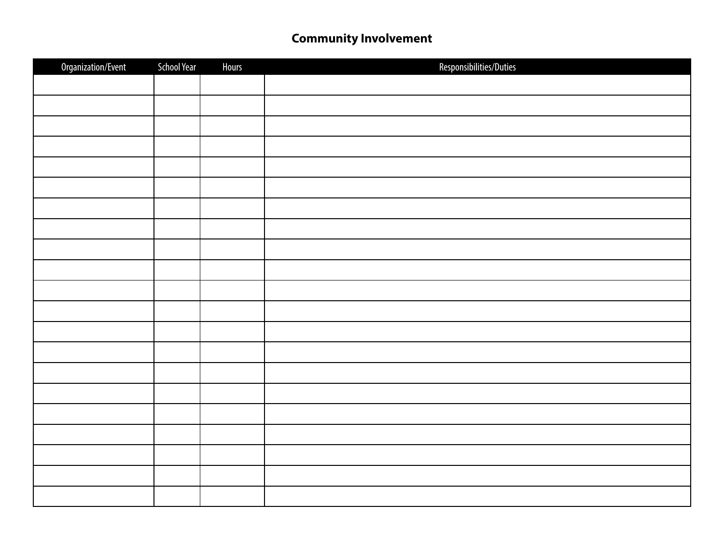## **Community Involvement**

| Organization/Event | <b>School Year</b> | <b>Hours</b> | Responsibilities/Duties |
|--------------------|--------------------|--------------|-------------------------|
|                    |                    |              |                         |
|                    |                    |              |                         |
|                    |                    |              |                         |
|                    |                    |              |                         |
|                    |                    |              |                         |
|                    |                    |              |                         |
|                    |                    |              |                         |
|                    |                    |              |                         |
|                    |                    |              |                         |
|                    |                    |              |                         |
|                    |                    |              |                         |
|                    |                    |              |                         |
|                    |                    |              |                         |
|                    |                    |              |                         |
|                    |                    |              |                         |
|                    |                    |              |                         |
|                    |                    |              |                         |
|                    |                    |              |                         |
|                    |                    |              |                         |
|                    |                    |              |                         |
|                    |                    |              |                         |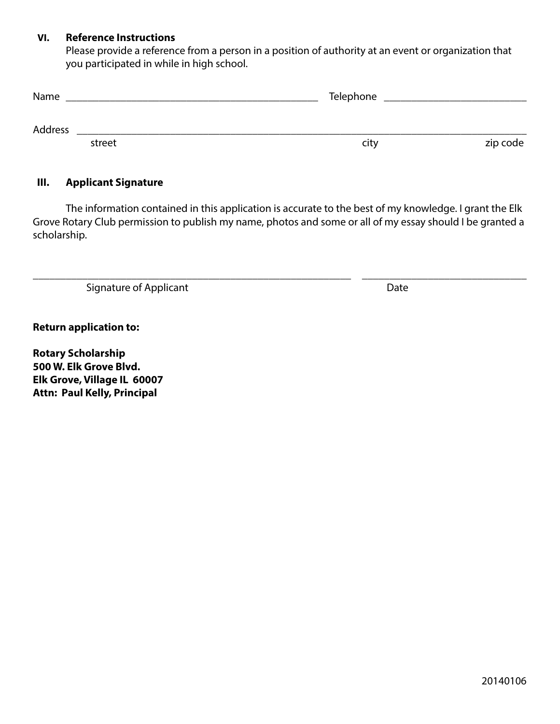#### **VI. Reference Instructions**

Please provide a reference from a person in a position of authority at an event or organization that you participated in while in high school.

| Name    |        | Telephone |          |
|---------|--------|-----------|----------|
| Address |        |           |          |
|         | street | city      | zip code |

#### **III. Applicant Signature**

The information contained in this application is accurate to the best of my knowledge. I grant the Elk Grove Rotary Club permission to publish my name, photos and some or all of my essay should I be granted a scholarship.

\_\_\_\_\_\_\_\_\_\_\_\_\_\_\_\_\_\_\_\_\_\_\_\_\_\_\_\_\_\_\_\_\_\_\_\_\_\_\_\_\_\_\_\_\_\_\_\_\_\_\_\_\_\_\_\_\_\_ \_\_\_\_\_\_\_\_\_\_\_\_\_\_\_\_\_\_\_\_\_\_\_\_\_\_\_\_\_\_

Signature of Applicant **Date** 

**Return application to:**

**Rotary Scholarship 500 W. Elk Grove Blvd. Elk Grove, Village IL 60007 Attn: Paul Kelly, Principal**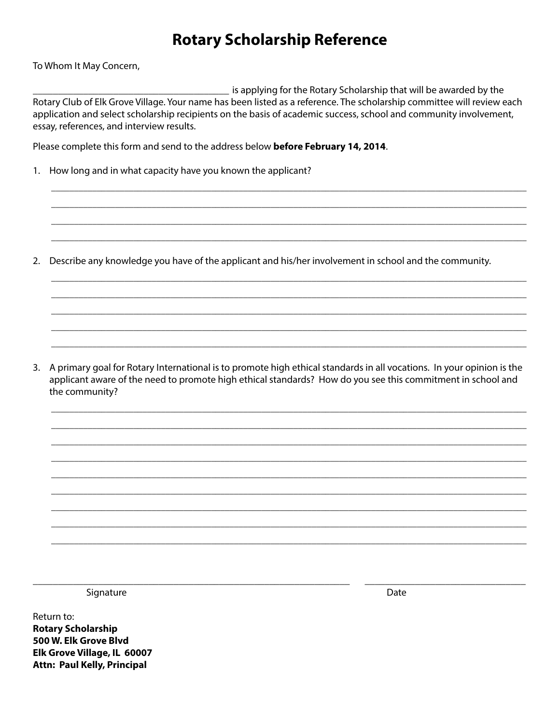# **Rotary Scholarship Reference**

To Whom It May Concern,

is applying for the Rotary Scholarship that will be awarded by the Rotary Club of Elk Grove Village. Your name has been listed as a reference. The scholarship committee will review each application and select scholarship recipients on the basis of academic success, school and community involvement, essay, references, and interview results.

Please complete this form and send to the address below before February 14, 2014.

1. How long and in what capacity have you known the applicant?

2. Describe any knowledge you have of the applicant and his/her involvement in school and the community.

3. A primary goal for Rotary International is to promote high ethical standards in all vocations. In your opinion is the applicant aware of the need to promote high ethical standards? How do you see this commitment in school and the community?

Signature

Date

Return to: **Rotary Scholarship** 500 W. Elk Grove Blvd Elk Grove Village, IL 60007 **Attn: Paul Kelly, Principal**